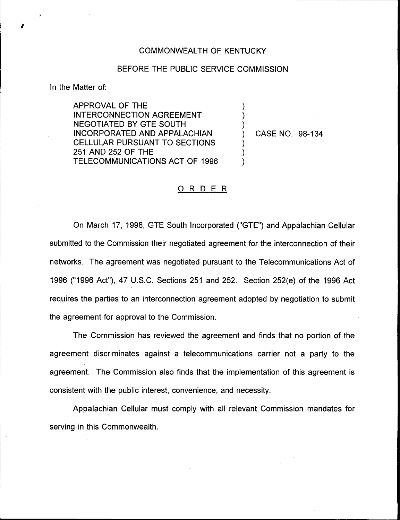## COMMONWEALTH OF KENTUCKY

## BEFORE THE PUBLIC SERVICE COMMISSION

)  $\overline{\phantom{a}}$  $\overline{\mathcal{C}}$ 

 $\overline{\phantom{a}}$ ) )

In the Matter of:

APPROVAL OF THE INTERCONNECTION AGREEMENT NEGOTIATED BY GTE SOUTH INCORPORATED AND APPALACHIAN CELLULAR PURSUANT TO SECTIONS 251 AND 252 OF THE TELECOMMUNICATIONS ACT OF 1996

) CASE NO. 98-134

## ORDER

On March 17, 1998, GTE South Incorporated ("GTE") and Appalachian Cellular submitted to the Commission their negotiated agreement for the interconnection of their networks. The agreement was negotiated pursuant to the Telecommunications Act of 1996 ("1996Act"), 47 U.S.C. Sections 251 and 252. Section 252(e) of the 1996 Act requires the parties to an interconnection agreement adopted by negotiation to submit the agreement for approval to the Commission.

The Commission has reviewed the agreement and finds that no portion of the agreement discriminates against a telecommunications carrier not a party to the agreement. The Commission also finds that the implementation of this agreement is consistent with the public interest, convenience, and necessity.

Appalachian Cellular must comply with all relevant Commission mandates for serving in this Commonwealth.